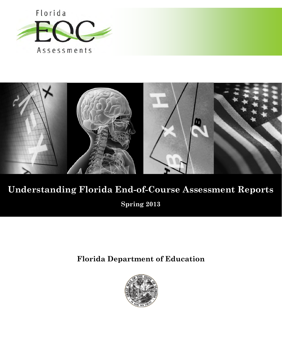



# **Understanding Florida End-of-Course Assessment Reports**

**Spring 2013** 

**Florida Department of Education**

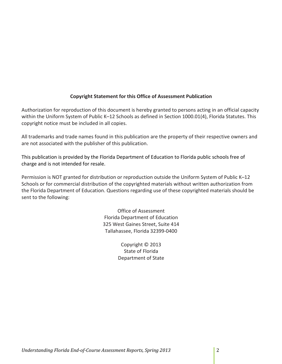## **Copyright Statement for this Office of Assessment Publication**

Authorization for reproduction of this document is hereby granted to persons acting in an official capacity within the Uniform System of Public K–12 Schools as defined in Section 1000.01(4), Florida Statutes. This copyright notice must be included in all copies.

All trademarks and trade names found in this publication are the property of their respective owners and are not associated with the publisher of this publication.

This publication is provided by the Florida Department of Education to Florida public schools free of charge and is not intended for resale.

Permission is NOT granted for distribution or reproduction outside the Uniform System of Public K–12 Schools or for commercial distribution of the copyrighted materials without written authorization from the Florida Department of Education. Questions regarding use of these copyrighted materials should be sent to the following:

> Office of Assessment Florida Department of Education 325 West Gaines Street, Suite 414 Tallahassee, Florida 32399-0400

> > Copyright © 2013 State of Florida Department of State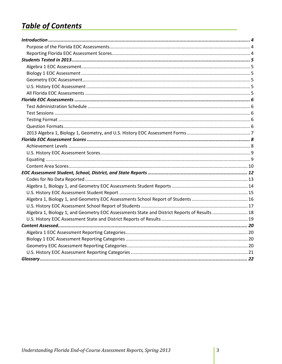## **Table of Contents**

| Algebra 1, Biology 1, and Geometry EOC Assessments State and District Reports of Results  18 |  |
|----------------------------------------------------------------------------------------------|--|
|                                                                                              |  |
|                                                                                              |  |
|                                                                                              |  |
|                                                                                              |  |
|                                                                                              |  |
|                                                                                              |  |
|                                                                                              |  |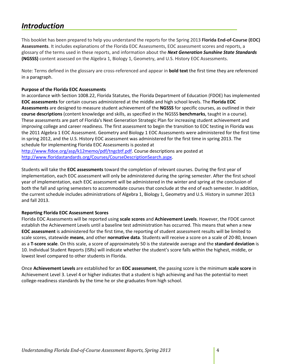## <span id="page-3-0"></span>*Introduction*

This booklet has been prepared to help you understand the reports for the Spring 2013 **Florida End-of-Course (EOC) Assessments**. It includes explanations of the Florida EOC Assessments, EOC assessment scores and reports, a glossary of the terms used in these reports, and information about the *Next Generation Sunshine State Standards* **(NGSSS)** content assessed on the Algebra 1, Biology 1, Geometry, and U.S. History EOC Assessments.

Note: Terms defined in the glossary are cross-referenced and appear in **bold text** the first time they are referenced in a paragraph.

### <span id="page-3-1"></span>**Purpose of the Florida EOC Assessments**

In accordance with Section 1008.22, Florida Statutes, the Florida Department of Education (FDOE) has implemented **EOC assessments** for certain courses administered at the middle and high school levels. The **Florida EOC Assessments** are designed to measure student achievement of the **NGSSS** for specific courses, as outlined in their **course descriptions** (content knowledge and skills, as specified in the NGSSS **benchmarks**, taught in a course). These assessments are part of Florida's Next Generation Strategic Plan for increasing student achievement and improving college and career readiness. The first assessment to begin the transition to EOC testing in Florida was the 2011 Algebra 1 EOC Assessment. Geometry and Biology 1 EOC Assessments were administered for the first time in spring 2012, and the U.S. History EOC assessment was administered for the first time in spring 2013. The schedule for implementing Florida EOC Assessments is posted at

[http://www.fldoe.org/asp/k12memo/pdf/tngcbtf.pdf.](http://www.fldoe.org/asp/k12memo/pdf/tngcbtf.pdf) Course descriptions are posted at [http://www.floridastandards.org/Courses/CourseDescriptionSearch.aspx.](http://www.floridastandards.org/Courses/CourseDescriptionSearch.aspx)

Students will take the **EOC assessments** toward the completion of relevant courses. During the first year of implementation, each EOC assessment will only be administered during the spring semester. After the first school year of implementation, each EOC assessment will be administered in the winter and spring at the conclusion of both the fall and spring semesters to accommodate courses that conclude at the end of each semester. In addition, the current schedule includes administrations of Algebra 1, Biology 1, Geometry and U.S. History in summer 2013 and fall 2013.

## <span id="page-3-2"></span>**Reporting Florida EOC Assessment Scores**

Florida EOC Assessments will be reported using **scale scores** and **Achievement Levels**. However, the FDOE cannot establish the Achievement Levels until a baseline test administration has occurred. This means that when a new **EOC assessment** is administered for the first time, the reporting of student assessment results will be limited to scale scores, statewide **means**, and other **normative data**. Students will receive a score on a scale of 20-80, known as a **T-score scale**. On this scale, a score of approximately 50 is the statewide average and the **standard deviation** is 10. Individual Student Reports (ISRs) will indicate whether the student's score falls within the highest, middle, or lowest level compared to other students in Florida.

Once **Achievement Levels** are established for an **EOC assessment**, the passing score is the minimum **scale score** in Achievement Level 3. Level 4 or higher indicates that a student is high achieving and has the potential to meet college-readiness standards by the time he or she graduates from high school.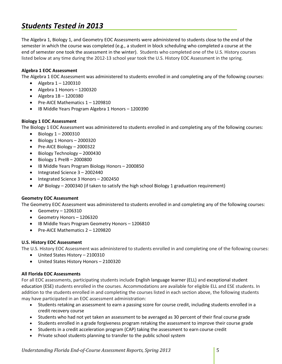## <span id="page-4-0"></span>*Students Tested in 2013*

The Algebra 1, Biology 1, and Geometry EOC Assessments were administered to students close to the end of the semester in which the course was completed (e.g., a student in block scheduling who completed a course at the end of semester one took the assessment in the winter). Students who completed one of the U.S. History courses listed below at any time during the 2012-13 school year took the U.S. History EOC Assessment in the spring.

## <span id="page-4-1"></span>**Algebra 1 EOC Assessment**

The Algebra 1 EOC Assessment was administered to students enrolled in and completing any of the following courses:

- Algebra 1 1200310
- Algebra 1 Honors 1200320
- Algebra 1B 1200380
- Pre-AICE Mathematics 1 1209810
- IB Middle Years Program Algebra 1 Honors 1200390

## <span id="page-4-2"></span>**Biology 1 EOC Assessment**

The Biology 1 EOC Assessment was administered to students enrolled in and completing any of the following courses:

- Biology 1 2000310
- Biology 1 Honors 2000320
- Pre-AICE Biology 2000322
- Biology Technology 2000430
- Biology 1 PreIB 2000800
- IB Middle Years Program Biology Honors 2000850
- Integrated Science 3 2002440
- Integrated Science 3 Honors 2002450
- AP Biology 2000340 (if taken to satisfy the high school Biology 1 graduation requirement)

#### <span id="page-4-3"></span>**Geometry EOC Assessment**

The Geometry EOC Assessment was administered to students enrolled in and completing any of the following courses:

- Geometry 1206310
- Geometry Honors 1206320
- IB Middle Years Program Geometry Honors 1206810
- Pre-AICE Mathematics 2 1209820

#### <span id="page-4-4"></span>**U.S. History EOC Assessment**

The U.S. History EOC Assessment was administered to students enrolled in and completing one of the following courses:

- United States History 2100310
- United States History Honors 2100320

#### <span id="page-4-5"></span>**All Florida EOC Assessments**

For all EOC assessments, participating students include English language learner (ELL) and exceptional student education (ESE) students enrolled in the courses. Accommodations are available for eligible ELL and ESE students. In addition to the students enrolled in and completing the courses listed in each section above, the following students may have participated in an EOC assessment administration:

- Students retaking an assessment to earn a passing score for course credit, including students enrolled in a credit recovery course
- Students who had not yet taken an assessment to be averaged as 30 percent of their final course grade
- Students enrolled in a grade forgiveness program retaking the assessment to improve their course grade
- Students in a credit acceleration program (CAP) taking the assessment to earn course credit
- Private school students planning to transfer to the public school system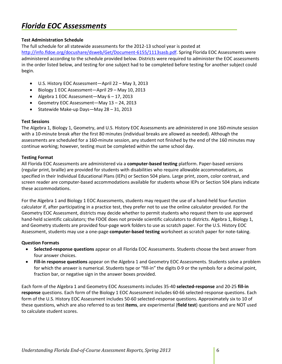## <span id="page-5-0"></span>*Florida EOC Assessments*

## <span id="page-5-1"></span>**Test Administration Schedule**

The full schedule for all statewide assessments for the 2012-13 school year is posted at

[http://info.fldoe.org/docushare/dsweb/Get/Document-6155/1113sasb.pdf.](http://info.fldoe.org/docushare/dsweb/Get/Document-6155/1113sasb.pdf) Spring Florida EOC Assessments were administered according to the schedule provided below. Districts were required to administer the EOC assessments in the order listed below, and testing for one subject had to be completed before testing for another subject could begin.

- U.S. History EOC Assessment—April 22 May 3, 2013
- Biology 1 EOC Assessment—April 29 May 10, 2013
- Algebra 1 EOC Assessment—May 6 17, 2013
- Geometry EOC Assessment—May 13 24, 2013
- Statewide Make-up Days—May 28 31, 2013

## <span id="page-5-2"></span>**Test Sessions**

The Algebra 1, Biology 1, Geometry, and U.S. History EOC Assessments are administered in one 160-minute session with a 10-minute break after the first 80 minutes (individual breaks are allowed as needed). Although the assessments are scheduled for a 160-minute session, any student not finished by the end of the 160 minutes may continue working; however, testing must be completed within the same school day.

## <span id="page-5-3"></span>**Testing Format**

All Florida EOC Assessments are administered via a **computer-based testing** platform. Paper-based versions (regular print, braille) are provided for students with disabilities who require allowable accommodations, as specified in their Individual Educational Plans (IEPs) or Section 504 plans. Large print, zoom, color contrast, and screen reader are computer-based accommodations available for students whose IEPs or Section 504 plans indicate these accommodations.

For the Algebra 1 and Biology 1 EOC Assessments, students may request the use of a hand-held four-function calculator if, after participating in a practice test, they prefer not to use the online calculator provided. For the Geometry EOC Assessment, districts may decide whether to permit students who request them to use approved hand-held scientific calculators; the FDOE does not provide scientific calculators to districts. Algebra 1, Biology 1, and Geometry students are provided four-page work folders to use as scratch paper. For the U.S. History EOC Assessment, students may use a one-page **computer-based testing** worksheet as scratch paper for note-taking.

#### <span id="page-5-4"></span>**Question Formats**

- **Selected-response questions** appear on all Florida EOC Assessments. Students choose the best answer from four answer choices.
- **Fill-in response questions** appear on the Algebra 1 and Geometry EOC Assessments. Students solve a problem for which the answer is numerical. Students type or "fill-in" the digits 0-9 or the symbols for a decimal point, fraction bar, or negative sign in the answer boxes provided.

<span id="page-5-5"></span>Each form of the Algebra 1 and Geometry EOC Assessments includes 35-40 **selected-response** and 20-25 **fill-in response** questions. Each form of the Biology 1 EOC Assessment includes 60-66 selected-response questions. Each form of the U.S. History EOC Assessment includes 50-60 selected-response questions. Approximately six to 10 of these questions, which are also referred to as test **items**, are experimental (**field test**) questions and are NOT used to calculate student scores.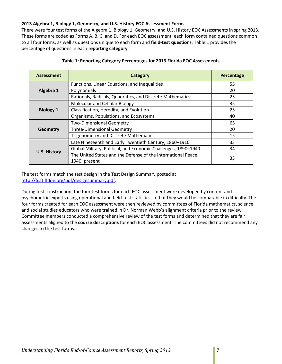## **2013 Algebra 1, Biology 1, Geometry, and U.S. History EOC Assessment Forms**

There were four test forms of the Algebra 1, Biology 1, Geometry, and U.S. History EOC Assessments in spring 2013. These forms are coded as Forms A, B, C, and D. For each EOC assessment, each form contained questions common to all four forms, as well as questions unique to each form and **field-test questions**. Table 1 provides the percentage of questions in each **reporting category**.

| <b>Assessment</b>   | <b>Category</b>                                                               | Percentage |
|---------------------|-------------------------------------------------------------------------------|------------|
|                     | Functions, Linear Equations, and Inequalities                                 | 55         |
| Algebra 1           | Polynomials                                                                   | 20         |
|                     | Rationals, Radicals, Quadratics, and Discrete Mathematics                     | 25         |
|                     | Molecular and Cellular Biology                                                | 35         |
| <b>Biology 1</b>    | Classification, Heredity, and Evolution                                       | 25         |
|                     | Organisms, Populations, and Ecosystems                                        | 40         |
|                     | Two-Dimensional Geometry                                                      | 65         |
| Geometry            | <b>Three-Dimensional Geometry</b>                                             | 20         |
|                     | <b>Trigonometry and Discrete Mathematics</b>                                  | 15         |
|                     | Late Nineteenth and Early Twentieth Century, 1860-1910                        | 33         |
|                     | Global Military, Political, and Economic Challenges, 1890-1940                | 34         |
| <b>U.S. History</b> | The United States and the Defense of the International Peace,<br>1940-present | 33         |

#### **Table 1: Reporting Category Percentages for 2013 Florida EOC Assessments**

The test forms match the test design in the Test Design Summary posted at [http://fcat.fldoe.org/pdf/designsummary.pdf.](http://fcat.fldoe.org/pdf/designsummary.pdf)

During test construction, the four test forms for each EOC assessment were developed by content and psychometric experts using operational and field-test statistics so that they would be comparable in difficulty. The four forms created for each EOC assessment were then reviewed by committees of Florida mathematics, science, and social studies educators who were trained in Dr. Norman Webb's alignment criteria prior to the review. Committee members conducted a comprehensive review of the test forms and determined that they are fair assessments aligned to the **course descriptions** for each EOC assessment. The committees did not recommend any changes to the test forms.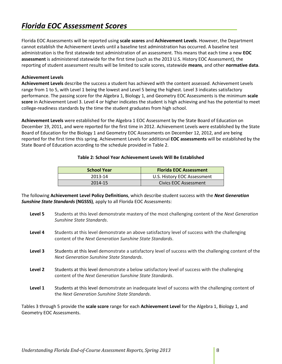## <span id="page-7-0"></span>*Florida EOC Assessment Scores*

Florida EOC Assessments will be reported using **scale scores** and **Achievement Levels**. However, the Department cannot establish the Achievement Levels until a baseline test administration has occurred. A baseline test administration is the first statewide test administration of an assessment. This means that each time a new **EOC assessment** is administered statewide for the first time (such as the 2013 U.S. History EOC Assessment), the reporting of student assessment results will be limited to scale scores, statewide **means**, and other **normative data**.

## <span id="page-7-1"></span>**Achievement Levels**

**Achievement Levels** describe the success a student has achieved with the content assessed. Achievement Levels range from 1 to 5, with Level 1 being the lowest and Level 5 being the highest. Level 3 indicates satisfactory performance. The passing score for the Algebra 1, Biology 1, and Geometry EOC Assessments is the minimum **scale score** in Achievement Level 3. Level 4 or higher indicates the student is high achieving and has the potential to meet college-readiness standards by the time the student graduates from high school.

**Achievement Levels** were established for the Algebra 1 EOC Assessment by the State Board of Education on December 19, 2011, and were reported for the first time in 2012. Achievement Levels were established by the State Board of Education for the Biology 1 and Geometry EOC Assessments on December 12, 2012, and are being reported for the first time this spring. Achievement Levels for additional **EOC assessments** will be established by the State Board of Education according to the schedule provided in Table 2.

#### **Table 2: School Year Achievement Levels Will Be Established**

| School Year | <b>Florida EOC Assessment</b> |
|-------------|-------------------------------|
| 2013-14     | U.S. History EOC Assessment   |
| 2014-15     | Civics EOC Assessment         |

The following **Achievement Level Policy Definitions**, which describe student success with the *Next Generation Sunshine State Standards* **(NGSSS)**, apply to all Florida EOC Assessments:

- **Level 5** Students at this level demonstrate mastery of the most challenging content of the *Next Generation Sunshine State Standards*.
- Level 4 Students at this level demonstrate an above satisfactory level of success with the challenging content of the *Next Generation Sunshine State Standards*.
- Level 3 Students at this level demonstrate a satisfactory level of success with the challenging content of the *Next Generation Sunshine State Standards*.
- **Level 2** Students at this level demonstrate a below satisfactory level of success with the challenging content of the *Next Generation Sunshine State Standards*.
- Level 1 Students at this level demonstrate an inadequate level of success with the challenging content of the *Next Generation Sunshine State Standards*.

Tables 3 through 5 provide the **scale score** range for each **Achievement Level** for the Algebra 1, Biology 1, and Geometry EOC Assessments.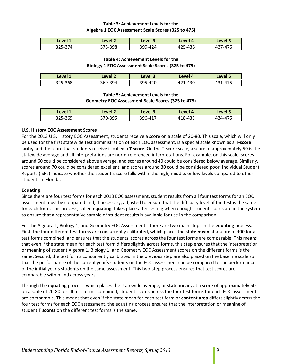## **Table 3: Achievement Levels for the Algebra 1 EOC Assessment Scale Scores (325 to 475)**

| Level 1 | Level <sub>2</sub> | Level 3 | Level 4 | Level 5 |
|---------|--------------------|---------|---------|---------|
| 325-374 | 375-398            | 399-424 | 425-436 | 437-475 |

## **Table 4: Achievement Levels for the Biology 1 EOC Assessment Scale Scores (325 to 475)**

| Level 1 | Level 2 | Level 3 | Level 4 | Level 5 |
|---------|---------|---------|---------|---------|
| 325-368 | 369-394 | 395-420 | 421-430 | 431-475 |

## **Table 5: Achievement Levels for the Geometry EOC Assessment Scale Scores (325 to 475)**

| Level 1 | Level 2 | Level 3 | Level 4 | Level 5 |
|---------|---------|---------|---------|---------|
| 325-369 | 370-395 | 396-417 | 418-433 | 434-475 |

## <span id="page-8-0"></span>**U.S. History EOC Assessment Scores**

For the 2013 U.S. History EOC Assessment, students receive a score on a scale of 20-80. This scale, which will only be used for the first statewide test administration of each EOC assessment, is a special scale known as a **T-score scale,** and the score that students receive is called a **T score**. On the T-score scale, a score of approximately 50 is the statewide average and all interpretations are norm-referenced interpretations. For example, on this scale, scores around 60 could be considered above average, and scores around 40 could be considered below average. Similarly, scores around 70 could be considered excellent, and scores around 30 could be considered poor. Individual Student Reports (ISRs) indicate whether the student's score falls within the high, middle, or low levels compared to other students in Florida.

## <span id="page-8-1"></span>**Equating**

Since there are four test forms for each 2013 EOC assessment, student results from all four test forms for an EOC assessment must be compared and, if necessary, adjusted to ensure that the difficulty level of the test is the same for each form. This process, called **equating**, takes place after testing when enough student scores are in the system to ensure that a representative sample of student results is available for use in the comparison.

For the Algebra 1, Biology 1, and Geometry EOC Assessments, there are two main steps in the **equating** process. First, the four different test forms are concurrently calibrated, which places the **state mean** at a score of 400 for all test forms combined, and ensures that the students' scores across the four test forms are comparable. This means that even if the state mean for each test form differs slightly across forms, this step ensures that the interpretation or meaning of student Algebra 1, Biology 1, and Geometry EOC Assessment scores on the different forms is the same. Second, the test forms concurrently calibrated in the previous step are also placed on the baseline scale so that the performance of the current year's students on the EOC assessment can be compared to the performance of the initial year's students on the same assessment. This two-step process ensures that test scores are comparable within and across years.

Through the **equating** process, which places the statewide average, or **state mean,** at a score of approximately 50 on a scale of 20-80 for all test forms combined, student scores across the four test forms for each EOC assessment are comparable. This means that even if the state mean for each test form or **content area** differs slightly across the four test forms for each EOC assessment, the equating process ensures that the interpretation or meaning of student **T scores** on the different test forms is the same.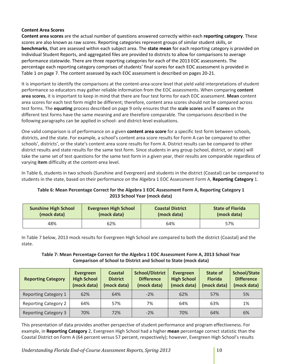## <span id="page-9-0"></span>**Content Area Scores**

**Content area scores** are the actual number of questions answered correctly within each **reporting category**. These scores are also known as raw scores. Reporting categories represent groups of similar student skills, or **benchmarks**, that are assessed within each subject area. The **state mean** for each reporting category is provided on Individual Student Reports, and aggregated files are provided to districts to allow for comparisons to average performance statewide. There are three reporting categories for each of the 2013 EOC assessments. The percentage each reporting category comprises of students' final scores for each EOC assessment is provided in Table 1 on page 7. The content assessed by each EOC assessment is described on pages 20-21.

It is important to identify the comparisons at the content-area-score level that yield valid interpretations of student performance so educators may gather reliable information from the EOC assessments. When comparing **content area scores**, it is important to keep in mind that there are four test forms for each EOC assessment. **Mean** content area scores for each test form might be different; therefore, content area scores should not be compared across test forms. The **equating** process described on page 9 only ensures that the **scale scores** and **T scores** on the different test forms have the same meaning and are therefore comparable. The comparisons described in the following paragraphs can be applied in school- and district-level evaluations.

One valid comparison is of performance on a given **content area score** for a specific test form between schools, districts, and the state. For example, a school's content area score results for Form A can be compared to other schools', districts', or the state's content area score results for Form A. District results can be compared to other district results and state results for the same test form. Since students in any group (school, district, or state) will take the same set of test questions for the same test form in a given year, their results are comparable regardless of varying **item** difficulty at the content-area level.

In Table 6, students in two schools (Sunshine and Evergreen) and students in the district (Coastal) can be compared to students in the state, based on their performance on the Algebra 1 EOC Assessment Form A, **Reporting Category** 1.

## **Table 6: Mean Percentage Correct for the Algebra 1 EOC Assessment Form A, Reporting Category 1 2013 School Year (mock data)**

| <b>Sunshine High School</b> | <b>Evergreen High School</b> | <b>Coastal District</b> | <b>State of Florida</b> |
|-----------------------------|------------------------------|-------------------------|-------------------------|
| (mock data)                 | (mock data)                  | (mock data)             | (mock data)             |
| 48%                         | 62%                          | 64%                     |                         |

In Table 7 below, 2013 mock results for Evergreen High School are compared to both the district (Coastal) and the state.

## **Table 7: Mean Percentage Correct for the Algebra 1 EOC Assessment Form A, 2013 School Year Comparison of School to District and School to State (mock data)**

| <b>Reporting Category</b>   | Evergreen<br><b>High School</b><br>(mock data) | <b>Coastal</b><br><b>District</b><br>(mock data) | <b>School/District</b><br><b>Difference</b><br>(mock data) | Evergreen<br><b>High School</b><br>(mock data) | <b>State of</b><br><b>Florida</b><br>(mock data) | <b>School/State</b><br><b>Difference</b><br>(mock data) |
|-----------------------------|------------------------------------------------|--------------------------------------------------|------------------------------------------------------------|------------------------------------------------|--------------------------------------------------|---------------------------------------------------------|
| <b>Reporting Category 1</b> | 62%                                            | 64%                                              | $-2%$                                                      | 62%                                            | 57%                                              | 5%                                                      |
| <b>Reporting Category 2</b> | 64%                                            | 57%                                              | 7%                                                         | 64%                                            | 63%                                              | 1%                                                      |
| <b>Reporting Category 3</b> | 70%                                            | 72%                                              | $-2%$                                                      | 70%                                            | 64%                                              | 6%                                                      |

This presentation of data provides another perspective of student performance and program effectiveness. For example, in **Reporting Category** 2, Evergreen High School had a higher **mean** percentage correct statistic than the Coastal District on Form A (64 percent versus 57 percent, respectively); however, Evergreen High School's results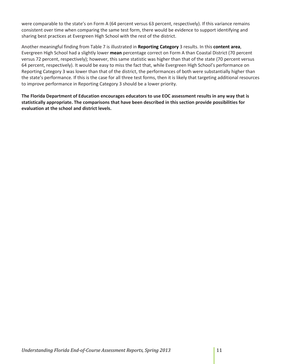were comparable to the state's on Form A (64 percent versus 63 percent, respectively). If this variance remains consistent over time when comparing the same test form, there would be evidence to support identifying and sharing best practices at Evergreen High School with the rest of the district.

Another meaningful finding from Table 7 is illustrated in **Reporting Category** 3 results. In this **content area**, Evergreen High School had a slightly lower **mean** percentage correct on Form A than Coastal District (70 percent versus 72 percent, respectively); however, this same statistic was higher than that of the state (70 percent versus 64 percent, respectively). It would be easy to miss the fact that, while Evergreen High School's performance on Reporting Category 3 was lower than that of the district, the performances of both were substantially higher than the state's performance. If this is the case for all three test forms, then it is likely that targeting additional resources to improve performance in Reporting Category 3 should be a lower priority.

**The Florida Department of Education encourages educators to use EOC assessment results in any way that is statistically appropriate. The comparisons that have been described in this section provide possibilities for evaluation at the school and district levels.**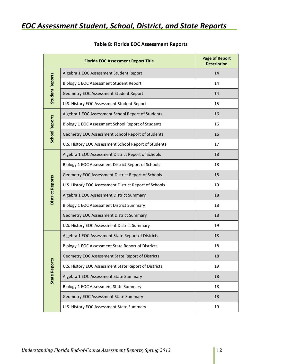## <span id="page-11-0"></span>*EOC Assessment Student, School, District, and State Reports*

|                         | <b>Florida EOC Assessment Report Title</b>             | <b>Page of Report</b><br><b>Description</b> |
|-------------------------|--------------------------------------------------------|---------------------------------------------|
|                         | Algebra 1 EOC Assessment Student Report                | 14                                          |
|                         | Biology 1 EOC Assessment Student Report                | 14                                          |
| <b>Student Reports</b>  | Geometry EOC Assessment Student Report                 | 14                                          |
|                         | U.S. History EOC Assessment Student Report             | 15                                          |
|                         | Algebra 1 EOC Assessment School Report of Students     | 16                                          |
| <b>School Reports</b>   | Biology 1 EOC Assessment School Report of Students     | 16                                          |
|                         | Geometry EOC Assessment School Report of Students      | 16                                          |
|                         | U.S. History EOC Assessment School Report of Students  | 17                                          |
|                         | Algebra 1 EOC Assessment District Report of Schools    | 18                                          |
|                         | Biology 1 EOC Assessment District Report of Schools    | 18                                          |
|                         | Geometry EOC Assessment District Report of Schools     | 18                                          |
| <b>District Reports</b> | U.S. History EOC Assessment District Report of Schools | 19                                          |
|                         | Algebra 1 EOC Assessment District Summary              | 18                                          |
|                         | Biology 1 EOC Assessment District Summary              | 18                                          |
|                         | Geometry EOC Assessment District Summary               | 18                                          |
|                         | U.S. History EOC Assessment District Summary           | 19                                          |
|                         | Algebra 1 EOC Assessment State Report of Districts     | 18                                          |
|                         | Biology 1 EOC Assessment State Report of Districts     | 18                                          |
|                         | Geometry EOC Assessment State Report of Districts      | 18                                          |
|                         | U.S. History EOC Assessment State Report of Districts  | 19                                          |
| <b>State Reports</b>    | Algebra 1 EOC Assessment State Summary                 | 18                                          |
|                         | Biology 1 EOC Assessment State Summary                 | 18                                          |
|                         | Geometry EOC Assessment State Summary                  | 18                                          |
|                         | U.S. History EOC Assessment State Summary              | 19                                          |

## **Table 8: Florida EOC Assessment Reports**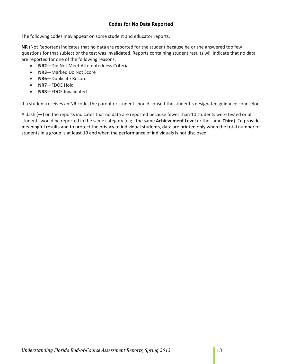## **Codes for No Data Reported**

<span id="page-12-0"></span>The following codes may appear on some student and educator reports.

**NR** (Not Reported) indicates that no data are reported for the student because he or she answered too few questions for that subject or the test was invalidated. Reports containing student results will indicate that no data are reported for one of the following reasons:

- **NR2**—Did Not Meet Attemptedness Criteria
- **NR3**—Marked Do Not Score
- **NR6**—Duplicate Record
- **NR7**—FDOE Hold
- **NR8**—FDOE Invalidated

If a student receives an NR code, the parent or student should consult the student's designated guidance counselor.

A dash (**—**) on the reports indicates that no data are reported because fewer than 10 students were tested or all students would be reported in the same category (e.g., the same **Achievement Level** or the same **Third**). To provide meaningful results and to protect the privacy of individual students, data are printed only when the total number of students in a group is at least 10 and when the performance of individuals is not disclosed.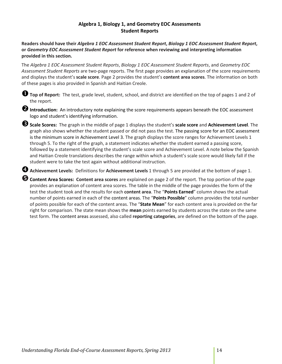## **Algebra 1, Biology 1, and Geometry EOC Assessments Student Reports**

<span id="page-13-0"></span>**Readers should have their** *Algebra 1 EOC Assessment Student Report***,** *Biology 1 EOC Assessment Student Report***, or** *Geometry EOC Assessment Student Report* **for reference when reviewing and interpreting information provided in this section.**

The *Algebra 1 EOC Assessment Student Reports*, *Biology 1 EOC Assessment Student Reports*, and *Geometry EOC Assessment Student Reports* are two-page reports. The first page provides an explanation of the score requirements and displays the student's **scale score**. Page 2 provides the student's **content area scores**. The information on both of these pages is also provided in Spanish and Haitian Creole.

**Top of Report:** The test, grade level, student, school, and district are identified on the top of pages 1 and 2 of the report.

**2** Introduction: An introductory note explaining the score requirements appears beneath the EOC assessment logo and student's identifying information.

**Scale Scores:** The graph in the middle of page 1 displays the student's **scale score** and **Achievement Level**. The graph also shows whether the student passed or did not pass the test. The passing score for an EOC assessment is the minimum score in Achievement Level 3. The graph displays the score ranges for Achievement Levels 1 through 5. To the right of the graph, a statement indicates whether the student earned a passing score, followed by a statement identifying the student's scale score and Achievement Level. A note below the Spanish and Haitian Creole translations describes the range within which a student's scale score would likely fall if the student were to take the test again without additional instruction.

**Achievement Levels:** Definitions for **Achievement Levels** 1 through 5 are provided at the bottom of page 1.

**Content Area Scores: Content area scores** are explained on page 2 of the report. The top portion of the page provides an explanation of content area scores. The table in the middle of the page provides the form of the test the student took and the results for each **content area**. The "**Points Earned**" column shows the actual number of points earned in each of the content areas. The "**Points Possible**" column provides the total number of points possible for each of the content areas. The "**State Mean**" for each content area is provided on the far right for comparison. The state mean shows the **mean** points earned by students across the state on the same test form. The content areas assessed, also called **reporting categories**, are defined on the bottom of the page.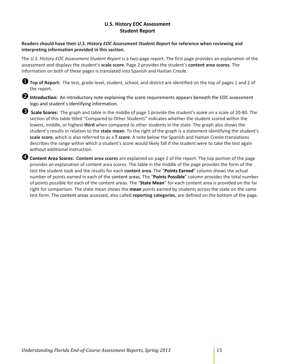## **U.S. History EOC Assessment Student Report**

## <span id="page-14-0"></span>**Readers should have their** *U.S. History EOC Assessment Student Report* **for reference when reviewing and interpreting information provided in this section.**

The *U.S. History EOC Assessment Student Report* is a two-page report. The first page provides an explanation of the assessment and displays the student's **scale score**. Page 2 provides the student's **content area scores**. The information on both of these pages is translated into Spanish and Haitian Creole.



**Top of Report:** The test, grade level, student, school, and district are identified on the top of pages 1 and 2 of the report.

**2** Introduction: An introductory note explaining the score requirements appears beneath the EOC assessment logo and student's identifying information.

 **Scale Scores:** The graph and table in the middle of page 1 provide the student's score on a scale of 20-80. The section of this table titled "Compared to Other Students" indicates whether the student scored within the lowest, middle, or highest **third** when compared to other students in the state. The graph also shows the student's results in relation to the **state mean**. To the right of the graph is a statement identifying the student's **scale score**, which is also referred to as a **T score**. A note below the Spanish and Haitian Creole translations describes the range within which a student's score would likely fall if the student were to take the test again without additional instruction.

**Content Area Scores: Content area scores** are explained on page 2 of the report. The top portion of the page provides an explanation of content area scores. The table in the middle of the page provides the form of the test the student took and the results for each **content area**. The "**Points Earned**" column shows the actual number of points earned in each of the content areas. The "**Points Possible**" column provides the total number of points possible for each of the content areas. The "**State Mean**" for each content area is provided on the far right for comparison. The state mean shows the **mean** points earned by students across the state on the same test form. The content areas assessed, also called **reporting categories**, are defined on the bottom of the page.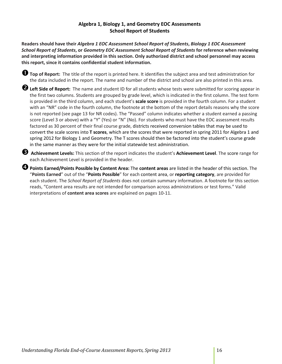## **Algebra 1, Biology 1, and Geometry EOC Assessments School Report of Students**

<span id="page-15-0"></span>**Readers should have their** *Algebra 1 EOC Assessment School Report of Students***,** *Biology 1 EOC Assessment School Report of Students***, or** *Geometry EOC Assessment School Report of Students* **for reference when reviewing and interpreting information provided in this section. Only authorized district and school personnel may access this report, since it contains confidential student information.**

**Top of Report:** The title of the report is printed here. It identifies the subject area and test administration for the data included in the report. The name and number of the district and school are also printed in this area.

**Left Side of Report:** The name and student ID for all students whose tests were submitted for scoring appear in the first two columns. Students are grouped by grade level, which is indicated in the first column. The test form is provided in the third column, and each student's **scale score** is provided in the fourth column. For a student with an "NR" code in the fourth column, the footnote at the bottom of the report details reasons why the score is not reported (see page 13 for NR codes). The "Passed" column indicates whether a student earned a passing score (Level 3 or above) with a "Y" (Yes) or "N" (No). For students who must have the EOC assessment results factored as 30 percent of their final course grade, districts received conversion tables that may be used to convert the scale scores into **T scores**, which are the scores that were reported in spring 2011 for Algebra 1 and spring 2012 for Biology 1 and Geometry. The T scores should then be factored into the student's course grade in the same manner as they were for the initial statewide test administration.

 **Achievement Levels:** This section of the report indicates the student's **Achievement Level**. The score range for each Achievement Level is provided in the header.

**Points Earned/Points Possible by Content Area:** The **content areas** are listed in the header of this section. The "**Points Earned**" out of the "**Points Possible**" for each content area, or **reporting category**, are provided for each student. The *School Report of Students* does not contain summary information. A footnote for this section reads, "Content area results are not intended for comparison across administrations or test forms." Valid interpretations of **content area scores** are explained on pages 10-11.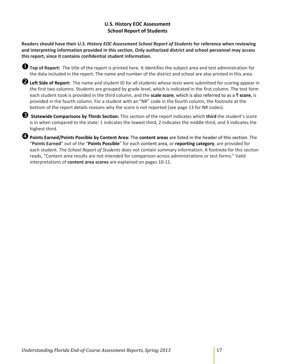## **U.S. History EOC Assessment School Report of Students**

<span id="page-16-0"></span>**Readers should have their** *U.S. History EOC Assessment School Report of Students* **for reference when reviewing and interpreting information provided in this section. Only authorized district and school personnel may access this report, since it contains confidential student information.**

**Top of Report:** The title of the report is printed here. It identifies the subject area and test administration for the data included in the report. The name and number of the district and school are also printed in this area.

**Left Side of Report:** The name and student ID for all students whose tests were submitted for scoring appear in the first two columns. Students are grouped by grade level, which is indicated in the first column. The test form each student took is provided in the third column, and the **scale score**, which is also referred to as a **T score**, is provided in the fourth column. For a student with an "NR" code in the fourth column, the footnote at the bottom of the report details reasons why the score is not reported (see page 13 for NR codes).

 **Statewide Comparisons by Thirds Section:** This section of the report indicates which **third** the student's score is in when compared to the state: 1 indicates the lowest third, 2 indicates the middle third, and 3 indicates the highest third.

**Points Earned/Points Possible by Content Area:** The **content areas** are listed in the header of this section. The "**Points Earned**" out of the "**Points Possible**" for each content area, or **reporting category**, are provided for each student. The *School Report of Students* does not contain summary information. A footnote for this section reads, "Content area results are not intended for comparison across administrations or test forms." Valid interpretations of **content area scores** are explained on pages 10-11.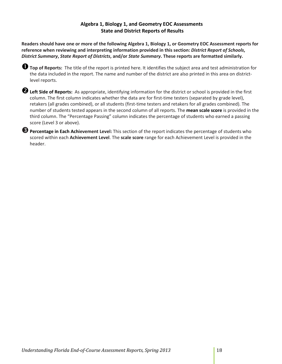## **Algebra 1, Biology 1, and Geometry EOC Assessments State and District Reports of Results**

<span id="page-17-0"></span>**Readers should have one or more of the following Algebra 1, Biology 1, or Geometry EOC Assessment reports for reference when reviewing and interpreting information provided in this section:** *District Report of Schools***,**  *District Summary***,** *State Report of Districts***, and/or** *State Summary***. These reports are formatted similarly.** 

**Top of Reports:** The title of the report is printed here. It identifies the subject area and test administration for the data included in the report. The name and number of the district are also printed in this area on districtlevel reports.

**Left Side of Reports:** As appropriate, identifying information for the district or school is provided in the first column. The first column indicates whether the data are for first-time testers (separated by grade level), retakers (all grades combined), or all students (first-time testers and retakers for all grades combined). The number of students tested appears in the second column of all reports. The **mean scale score** is provided in the third column. The "Percentage Passing" column indicates the percentage of students who earned a passing score (Level 3 or above).

**Percentage in Each Achievement Level:** This section of the report indicates the percentage of students who scored within each **Achievement Level**. The **scale score** range for each Achievement Level is provided in the header.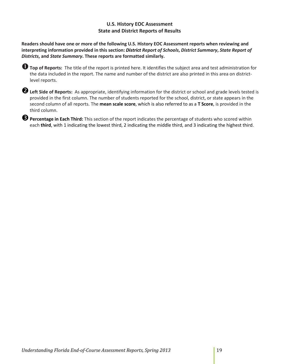## **U.S. History EOC Assessment State and District Reports of Results**

<span id="page-18-0"></span>**Readers should have one or more of the following U.S. History EOC Assessment reports when reviewing and interpreting information provided in this section:** *District Report of Schools***,** *District Summary***,** *State Report of Districts***, and** *State Summary***. These reports are formatted similarly.** 

| <b>O</b> Top of Reports: The title of the report is printed here. It identifies the subject area and test administration for |
|------------------------------------------------------------------------------------------------------------------------------|
| the data included in the report. The name and number of the district are also printed in this area on district-              |
| level reports.                                                                                                               |

**Left Side of Reports:** As appropriate, identifying information for the district or school and grade levels tested is provided in the first column. The number of students reported for the school, district, or state appears in the second column of all reports. The **mean scale score**, which is also referred to as a **T Score**, is provided in the third column.

**Percentage in Each Third:** This section of the report indicates the percentage of students who scored within each **third**, with 1 indicating the lowest third, 2 indicating the middle third, and 3 indicating the highest third.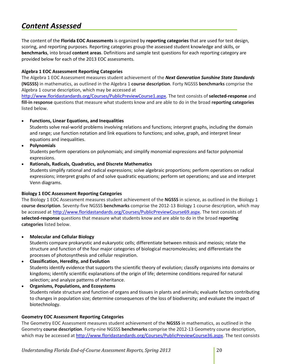## <span id="page-19-0"></span>*Content Assessed*

The content of the **Florida EOC Assessments** is organized by **reporting categories** that are used for test design, scoring, and reporting purposes. Reporting categories group the assessed student knowledge and skills, or **benchmarks**, into broad **content areas**. Definitions and sample test questions for each reporting category are provided below for each of the 2013 EOC assessments.

## <span id="page-19-1"></span>**Algebra 1 EOC Assessment Reporting Categories**

The Algebra 1 EOC Assessment measures student achievement of the *Next Generation Sunshine State Standards* **(NGSSS)** in mathematics, as outlined in the Algebra 1 **course description**. Forty NGSSS **benchmarks** comprise the Algebra 1 course description, which may be accessed at

[http://www.floridastandards.org/Courses/PublicPreviewCourse1.aspx.](http://www.floridastandards.org/Courses/PublicPreviewCourse1.aspx) The test consists of **selected-response** and **fill-in response** questions that measure what students know and are able to do in the broad **reporting categories** listed below.

## • **Functions, Linear Equations, and Inequalities**

Students solve real-world problems involving relations and functions; interpret graphs, including the domain and range; use function notation and link equations to functions; and solve, graph, and interpret linear equations and inequalities.

• **Polynomials**

Students perform operations on polynomials; and simplify monomial expressions and factor polynomial expressions.

## • **Rationals, Radicals, Quadratics, and Discrete Mathematics**

Students simplify rational and radical expressions; solve algebraic proportions; perform operations on radical expressions; interpret graphs of and solve quadratic equations; perform set operations; and use and interpret Venn diagrams.

#### <span id="page-19-2"></span>**Biology 1 EOC Assessment Reporting Categories**

The Biology 1 EOC Assessment measures student achievement of the **NGSSS** in science, as outlined in the Biology 1 **course description**. Seventy-five NGSSS **benchmarks** comprise the 2012-13 Biology 1 course description, which may be accessed at [http://www.floridastandards.org/Courses/PublicPreviewCourse69.aspx.](http://www.floridastandards.org/Courses/PublicPreviewCourse69.aspx) The test consists of **selected-response** questions that measure what students know and are able to do in the broad **reporting categories** listed below.

• **Molecular and Cellular Biology**

Students compare prokaryotic and eukaryotic cells; differentiate between mitosis and meiosis; relate the structure and function of the four major categories of biological macromolecules; and differentiate the processes of photosynthesis and cellular respiration.

## • **Classification, Heredity, and Evolution** Students identify evidence that supports the scientific theory of evolution; classify organisms into domains or kingdoms; identify scientific explanations of the origin of life; determine conditions required for natural selection; and analyze patterns of inheritance.

• **Organisms, Populations, and Ecosystems** Students relate structure and function of organs and tissues in plants and animals; evaluate factors contributing to changes in population size; determine consequences of the loss of biodiversity; and evaluate the impact of biotechnology.

## <span id="page-19-3"></span>**Geometry EOC Assessment Reporting Categories**

The Geometry EOC Assessment measures student achievement of the **NGSSS** in mathematics, as outlined in the Geometry **course description**. Forty-nine NGSSS **benchmarks** comprise the 2012-13 Geometry course description, which may be accessed at [http://www.floridastandards.org/Courses/PublicPreviewCourse36.aspx.](http://www.floridastandards.org/Courses/PublicPreviewCourse36.aspx) The test consists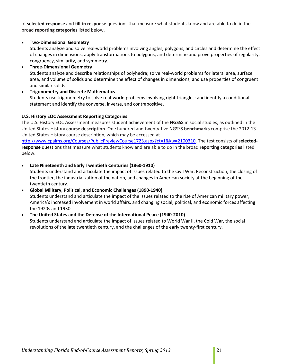of **selected-response** and **fill-in response** questions that measure what students know and are able to do in the broad **reporting categories** listed below.

## • **Two-Dimensional Geometry**

Students analyze and solve real-world problems involving angles, polygons, and circles and determine the effect of changes in dimensions; apply transformations to polygons; and determine and prove properties of regularity, congruency, similarity, and symmetry.

• **Three-Dimensional Geometry** Students analyze and describe relationships of polyhedra; solve real-world problems for lateral area, surface area, and volume of solids and determine the effect of changes in dimensions; and use properties of congruent and similar solids.

• **Trigonometry and Discrete Mathematics** Students use trigonometry to solve real-world problems involving right triangles; and identify a conditional statement and identify the converse, inverse, and contrapositive.

## <span id="page-20-0"></span>**U.S. History EOC Assessment Reporting Categories**

The U.S. History EOC Assessment measures student achievement of the **NGSSS** in social studies, as outlined in the United States History **course description**. One hundred and twenty-five NGSSS **benchmarks** comprise the 2012-13 United States History course description, which may be accessed at

[http://www.cpalms.org/Courses/PublicPreviewCourse1723.aspx?ct=1&kw=2100310.](http://www.cpalms.org/Courses/PublicPreviewCourse1723.aspx?ct=1&kw=2100310) The test consists of **selectedresponse** questions that measure what students know and are able to do in the broad **reporting categories** listed below.

## • **Late Nineteenth and Early Twentieth Centuries (1860-1910)**

Students understand and articulate the impact of issues related to the Civil War, Reconstruction, the closing of the frontier, the industrialization of the nation, and changes in American society at the beginning of the twentieth century.

#### • **Global Military, Political, and Economic Challenges (1890-1940)**

Students understand and articulate the impact of the issues related to the rise of American military power, America's increased involvement in world affairs, and changing social, political, and economic forces affecting the 1920s and 1930s.

#### • **The United States and the Defense of the International Peace (1940-2010)**

Students understand and articulate the impact of issues related to World War II, the Cold War, the social revolutions of the late twentieth century, and the challenges of the early twenty-first century.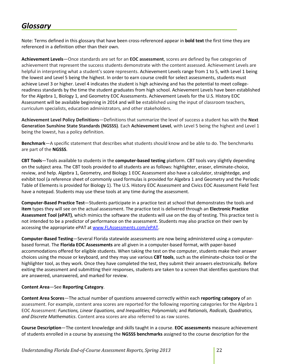## <span id="page-21-0"></span>*Glossary*

Note: Terms defined in this glossary that have been cross-referenced appear in **bold text** the first time they are referenced in a definition other than their own.

**Achievement Levels**—Once standards are set for an **EOC assessment**, scores are defined by five categories of achievement that represent the success students demonstrate with the content assessed. Achievement Levels are helpful in interpreting what a student's score represents. Achievement Levels range from 1 to 5, with Level 1 being the lowest and Level 5 being the highest. In order to earn course credit for select assessments, students must achieve Level 3 or higher. Level 4 indicates the student is high achieving and has the potential to meet collegereadiness standards by the time the student graduates from high school. Achievement Levels have been established for the Algebra 1, Biology 1, and Geometry EOC Assessments. Achievement Levels for the U.S. History EOC Assessment will be available beginning in 2014 and will be established using the input of classroom teachers, curriculum specialists, education administrators, and other stakeholders.

**Achievement Level Policy Definitions**—Definitions that summarize the level of success a student has with the **Next Generation Sunshine State Standards (NGSSS)**. Each **Achievement Level**, with Level 5 being the highest and Level 1 being the lowest, has a policy definition.

**Benchmark**—A specific statement that describes what students should know and be able to do. The benchmarks are part of the **NGSSS**.

**CBT Tools**—Tools available to students in the **computer-based testing** platform. CBT tools vary slightly depending on the subject area. The CBT tools provided to all students are as follows: highlighter, eraser, eliminate-choice, review, and help. Algebra 1, Geometry, and Biology 1 EOC Assessment also have a calculator, straightedge, and exhibit tool (a reference sheet of commonly used formulas is provided for Algebra 1 and Geometry and the Periodic Table of Elements is provided for Biology 1). The U.S. History EOC Assessment and Civics EOC Assessment Field Test have a notepad. Students may use these tools at any time during the assessment.

**Computer-Based Practice Test**—Students participate in a practice test at school that demonstrates the tools and **item** types they will see on the actual assessment. The practice test is delivered through an **Electronic Practice Assessment Tool (ePAT)**, which mimics the software the students will use on the day of testing. This practice test is not intended to be a predictor of performance on the assessment. Students may also practice on their own by accessing the appropriate ePAT at [www.FLAssessments.com/ePAT.](http://www.flassessments.com/ePAT)

**Computer-Based Testing**—Several Florida statewide assessments are now being administered using a computerbased format. The **Florida EOC Assessments** are all given in a computer-based format, with paper-based accommodations offered for eligible students. When taking the test on the computer, students make their answer choices using the mouse or keyboard, and they may use various **CBT tools**, such as the eliminate-choice tool or the highlighter tool, as they work. Once they have completed the test, they submit their answers electronically. Before exiting the assessment and submitting their responses, students are taken to a screen that identifies questions that are answered, unanswered, and marked for review.

## **Content Area**—See **Reporting Category**.

**Content Area Scores**—The actual number of questions answered correctly within each **reporting category** of an assessment. For example, content area scores are reported for the following reporting categories for the Algebra 1 EOC Assessment: *Functions, Linear Equations, and Inequalities; Polynomials;* and *Rationals, Radicals, Quadratics, and Discrete Mathematics*. Content area scores are also referred to as raw scores.

**Course Description**—The content knowledge and skills taught in a course. **EOC assessments** measure achievement of students enrolled in a course by assessing the **NGSSS benchmarks** assigned to the course description for the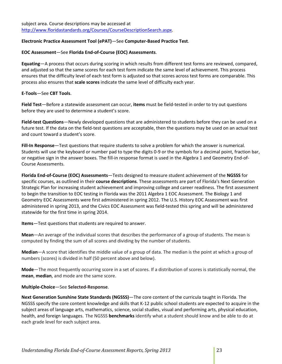## **Electronic Practice Assessment Tool (ePAT)**—See **Computer-Based Practice Test**.

### **EOC Assessment**—See **Florida End-of-Course (EOC) Assessments**.

**Equating**—A process that occurs during scoring in which results from different test forms are reviewed, compared, and adjusted so that the same scores for each test form indicate the same level of achievement. This process ensures that the difficulty level of each test form is adjusted so that scores across test forms are comparable. This process also ensures that **scale scores** indicate the same level of difficulty each year.

## **E-Tools**—See **CBT Tools**.

**Field Test**—Before a statewide assessment can occur, **items** must be field-tested in order to try out questions before they are used to determine a student's score.

**Field-test Questions**—Newly developed questions that are administered to students before they can be used on a future test. If the data on the field-test questions are acceptable, then the questions may be used on an actual test and count toward a student's score.

**Fill-In Response**—Test questions that require students to solve a problem for which the answer is numerical. Students will use the keyboard or number pad to type the digits 0-9 or the symbols for a decimal point, fraction bar, or negative sign in the answer boxes. The fill-in response format is used in the Algebra 1 and Geometry End-of-Course Assessments.

**Florida End-of-Course (EOC) Assessments**—Tests designed to measure student achievement of the **NGSSS** for specific courses, as outlined in their **course descriptions**. These assessments are part of Florida's Next Generation Strategic Plan for increasing student achievement and improving college and career readiness. The first assessment to begin the transition to EOC testing in Florida was the 2011 Algebra 1 EOC Assessment. The Biology 1 and Geometry EOC Assessments were first administered in spring 2012. The U.S. History EOC Assessment was first administered in spring 2013, and the Civics EOC Assessment was field-tested this spring and will be administered statewide for the first time in spring 2014.

**Items**—Test questions that students are required to answer.

**Mean**—An average of the individual scores that describes the performance of a group of students. The mean is computed by finding the sum of all scores and dividing by the number of students.

**Median**—A score that identifies the middle value of a group of data. The median is the point at which a group of numbers (scores) is divided in half (50 percent above and below).

**Mode**—The most frequently occurring score in a set of scores. If a distribution of scores is statistically normal, the **mean**, **median**, and mode are the same score.

## **Multiple-Choice**—See **Selected-Response**.

**Next Generation Sunshine State Standards (NGSSS)**—The core content of the curricula taught in Florida. The NGSSS specify the core content knowledge and skills that K-12 public school students are expected to acquire in the subject areas of language arts, mathematics, science, social studies, visual and performing arts, physical education, health, and foreign languages. The NGSSS **benchmarks** identify what a student should know and be able to do at each grade level for each subject area.